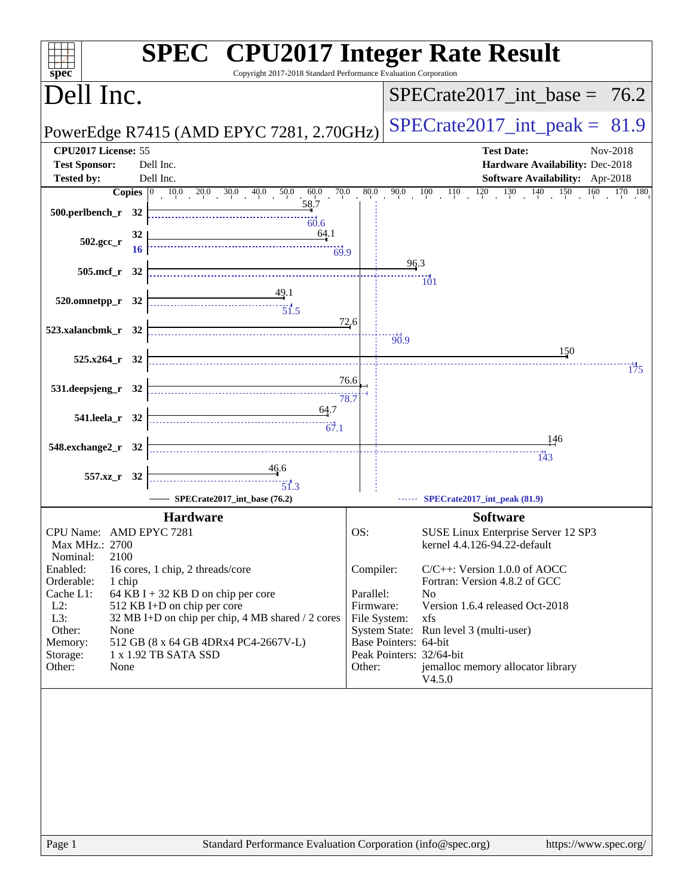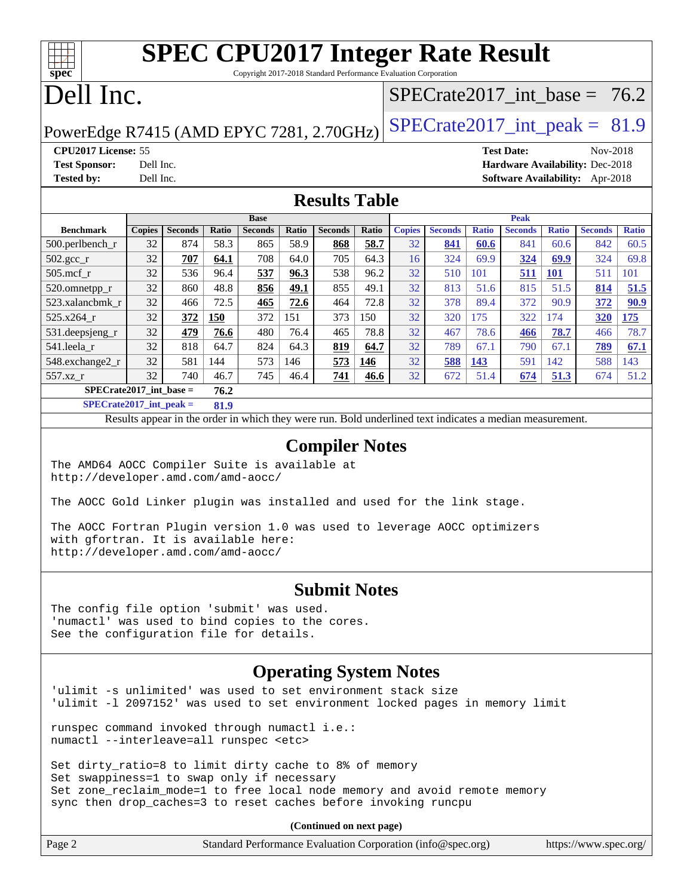# **[SPEC CPU2017 Integer Rate Result](http://www.spec.org/auto/cpu2017/Docs/result-fields.html#SPECCPU2017IntegerRateResult)**

Copyright 2017-2018 Standard Performance Evaluation Corporation

# Dell Inc.

**[spec](http://www.spec.org/)**

## SPECrate2017 int\_base =  $76.2$

## PowerEdge R7415 (AMD EPYC 7281, 2.70GHz)  $\left|$  [SPECrate2017\\_int\\_peak =](http://www.spec.org/auto/cpu2017/Docs/result-fields.html#SPECrate2017intpeak) 81.9

**[CPU2017 License:](http://www.spec.org/auto/cpu2017/Docs/result-fields.html#CPU2017License)** 55 **[Test Date:](http://www.spec.org/auto/cpu2017/Docs/result-fields.html#TestDate)** Nov-2018

**[Test Sponsor:](http://www.spec.org/auto/cpu2017/Docs/result-fields.html#TestSponsor)** Dell Inc. **[Hardware Availability:](http://www.spec.org/auto/cpu2017/Docs/result-fields.html#HardwareAvailability)** Dec-2018 **[Tested by:](http://www.spec.org/auto/cpu2017/Docs/result-fields.html#Testedby)** Dell Inc. **[Software Availability:](http://www.spec.org/auto/cpu2017/Docs/result-fields.html#SoftwareAvailability)** Apr-2018

#### **[Results Table](http://www.spec.org/auto/cpu2017/Docs/result-fields.html#ResultsTable)**

|                           | <b>Base</b> |                |       |                |       | <b>Peak</b>    |       |               |                |              |                |              |                |              |
|---------------------------|-------------|----------------|-------|----------------|-------|----------------|-------|---------------|----------------|--------------|----------------|--------------|----------------|--------------|
| <b>Benchmark</b>          | Copies      | <b>Seconds</b> | Ratio | <b>Seconds</b> | Ratio | <b>Seconds</b> | Ratio | <b>Copies</b> | <b>Seconds</b> | <b>Ratio</b> | <b>Seconds</b> | <b>Ratio</b> | <b>Seconds</b> | <b>Ratio</b> |
| $500.$ perlbench_r        | 32          | 874            | 58.3  | 865            | 58.9  | 868            | 58.7  | 32            | 841            | 60.6         | 841            | 60.6         | 842            | 60.5         |
| 502.gcc_r                 | 32          | 707            | 64.1  | 708            | 64.0  | 705            | 64.3  | 16            | 324            | 69.9         | 324            | 69.9         | 324            | 69.8         |
| $505$ .mcf r              | 32          | 536            | 96.4  | 537            | 96.3  | 538            | 96.2  | 32            | 510            | 101          | 511            | <b>101</b>   | 511            | 101          |
| 520.omnetpp_r             | 32          | 860            | 48.8  | 856            | 49.1  | 855            | 49.1  | 32            | 813            | 51.6         | 815            | 51.5         | 814            | 51.5         |
| 523.xalancbmk r           | 32          | 466            | 72.5  | 465            | 72.6  | 464            | 72.8  | 32            | 378            | 89.4         | 372            | 90.9         | 372            | 90.9         |
| 525.x264 r                | 32          | 372            | 150   | 372            | 151   | 373            | 150   | 32            | 320            | 175          | 322            | 174          | 320            | 175          |
| 531.deepsjeng_r           | 32          | 479            | 76.6  | 480            | 76.4  | 465            | 78.8  | 32            | 467            | 78.6         | 466            | 78.7         | 466            | 78.7         |
| 541.leela r               | 32          | 818            | 64.7  | 824            | 64.3  | 819            | 64.7  | 32            | 789            | 67.1         | 790            | 67.1         | 789            | 67.1         |
| 548.exchange2_r           | 32          | 581            | 144   | 573            | 146   | 573            | 146   | 32            | 588            | 143          | 591            | 142          | 588            | 143          |
| 557.xz r                  | 32          | 740            | 46.7  | 745            | 46.4  | 741            | 46.6  | 32            | 672            | 51.4         | 674            | 51.3         | 674            | 51.2         |
| $SPECrate2017$ int base = |             |                | 76.2  |                |       |                |       |               |                |              |                |              |                |              |

**[SPECrate2017\\_int\\_peak =](http://www.spec.org/auto/cpu2017/Docs/result-fields.html#SPECrate2017intpeak) 81.9**

Results appear in the [order in which they were run.](http://www.spec.org/auto/cpu2017/Docs/result-fields.html#RunOrder) Bold underlined text [indicates a median measurement.](http://www.spec.org/auto/cpu2017/Docs/result-fields.html#Median)

#### **[Compiler Notes](http://www.spec.org/auto/cpu2017/Docs/result-fields.html#CompilerNotes)**

The AMD64 AOCC Compiler Suite is available at <http://developer.amd.com/amd-aocc/>

The AOCC Gold Linker plugin was installed and used for the link stage.

The AOCC Fortran Plugin version 1.0 was used to leverage AOCC optimizers with gfortran. It is available here: <http://developer.amd.com/amd-aocc/>

#### **[Submit Notes](http://www.spec.org/auto/cpu2017/Docs/result-fields.html#SubmitNotes)**

The config file option 'submit' was used. 'numactl' was used to bind copies to the cores. See the configuration file for details.

#### **[Operating System Notes](http://www.spec.org/auto/cpu2017/Docs/result-fields.html#OperatingSystemNotes)**

'ulimit -s unlimited' was used to set environment stack size 'ulimit -l 2097152' was used to set environment locked pages in memory limit

runspec command invoked through numactl i.e.: numactl --interleave=all runspec <etc>

Set dirty\_ratio=8 to limit dirty cache to 8% of memory Set swappiness=1 to swap only if necessary Set zone\_reclaim\_mode=1 to free local node memory and avoid remote memory sync then drop\_caches=3 to reset caches before invoking runcpu

| Page 2 | Standard Performance Evaluation Corporation (info@spec.org) |  | https://www.spec.org/ |
|--------|-------------------------------------------------------------|--|-----------------------|
|--------|-------------------------------------------------------------|--|-----------------------|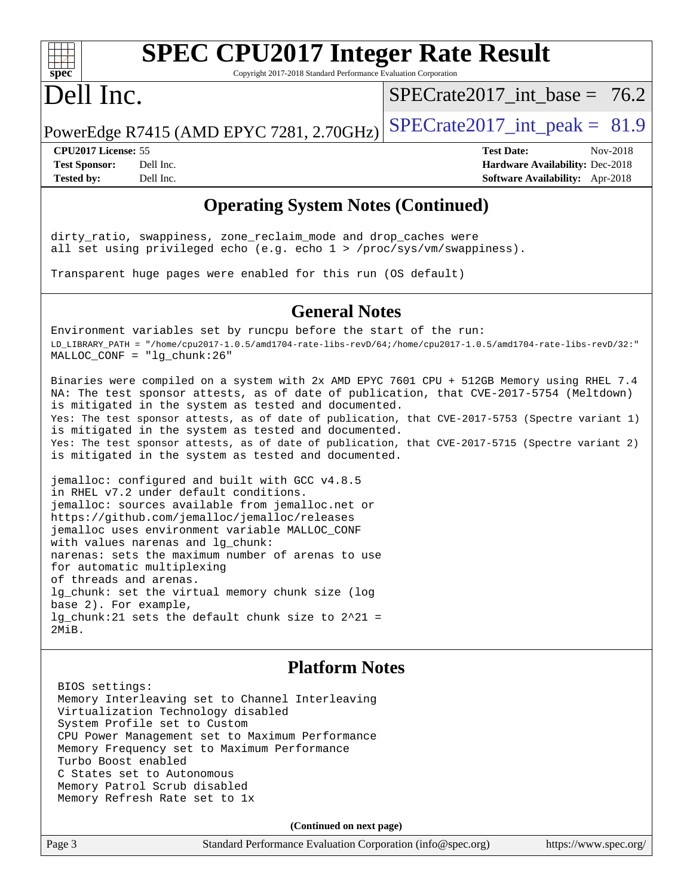

# **[SPEC CPU2017 Integer Rate Result](http://www.spec.org/auto/cpu2017/Docs/result-fields.html#SPECCPU2017IntegerRateResult)**

Copyright 2017-2018 Standard Performance Evaluation Corporation

# Dell Inc.

 $SPECrate2017\_int\_base = 76.2$ 

PowerEdge R7415 (AMD EPYC 7281, 2.70GHz)  $\text{SPECrate}2017\_int\_peak = 81.9$ 

**[CPU2017 License:](http://www.spec.org/auto/cpu2017/Docs/result-fields.html#CPU2017License)** 55 **[Test Date:](http://www.spec.org/auto/cpu2017/Docs/result-fields.html#TestDate)** Nov-2018 **[Test Sponsor:](http://www.spec.org/auto/cpu2017/Docs/result-fields.html#TestSponsor)** Dell Inc. **[Hardware Availability:](http://www.spec.org/auto/cpu2017/Docs/result-fields.html#HardwareAvailability)** Dec-2018 **[Tested by:](http://www.spec.org/auto/cpu2017/Docs/result-fields.html#Testedby)** Dell Inc. **[Software Availability:](http://www.spec.org/auto/cpu2017/Docs/result-fields.html#SoftwareAvailability)** Apr-2018

### **[Operating System Notes \(Continued\)](http://www.spec.org/auto/cpu2017/Docs/result-fields.html#OperatingSystemNotes)**

dirty\_ratio, swappiness, zone\_reclaim\_mode and drop\_caches were all set using privileged echo (e.g. echo 1 > /proc/sys/vm/swappiness).

Transparent huge pages were enabled for this run (OS default)

#### **[General Notes](http://www.spec.org/auto/cpu2017/Docs/result-fields.html#GeneralNotes)**

Environment variables set by runcpu before the start of the run: LD\_LIBRARY\_PATH = "/home/cpu2017-1.0.5/amd1704-rate-libs-revD/64;/home/cpu2017-1.0.5/amd1704-rate-libs-revD/32:" MALLOC\_CONF = "lg\_chunk:26"

Binaries were compiled on a system with 2x AMD EPYC 7601 CPU + 512GB Memory using RHEL 7.4 NA: The test sponsor attests, as of date of publication, that CVE-2017-5754 (Meltdown) is mitigated in the system as tested and documented. Yes: The test sponsor attests, as of date of publication, that CVE-2017-5753 (Spectre variant 1) is mitigated in the system as tested and documented. Yes: The test sponsor attests, as of date of publication, that CVE-2017-5715 (Spectre variant 2) is mitigated in the system as tested and documented.

jemalloc: configured and built with GCC v4.8.5 in RHEL v7.2 under default conditions. jemalloc: sources available from jemalloc.net or <https://github.com/jemalloc/jemalloc/releases> jemalloc uses environment variable MALLOC\_CONF with values narenas and lg\_chunk: narenas: sets the maximum number of arenas to use for automatic multiplexing of threads and arenas. lg\_chunk: set the virtual memory chunk size (log base 2). For example, lg\_chunk:21 sets the default chunk size to 2^21 = 2MiB.

#### **[Platform Notes](http://www.spec.org/auto/cpu2017/Docs/result-fields.html#PlatformNotes)**

 BIOS settings: Memory Interleaving set to Channel Interleaving Virtualization Technology disabled System Profile set to Custom CPU Power Management set to Maximum Performance Memory Frequency set to Maximum Performance Turbo Boost enabled C States set to Autonomous Memory Patrol Scrub disabled Memory Refresh Rate set to 1x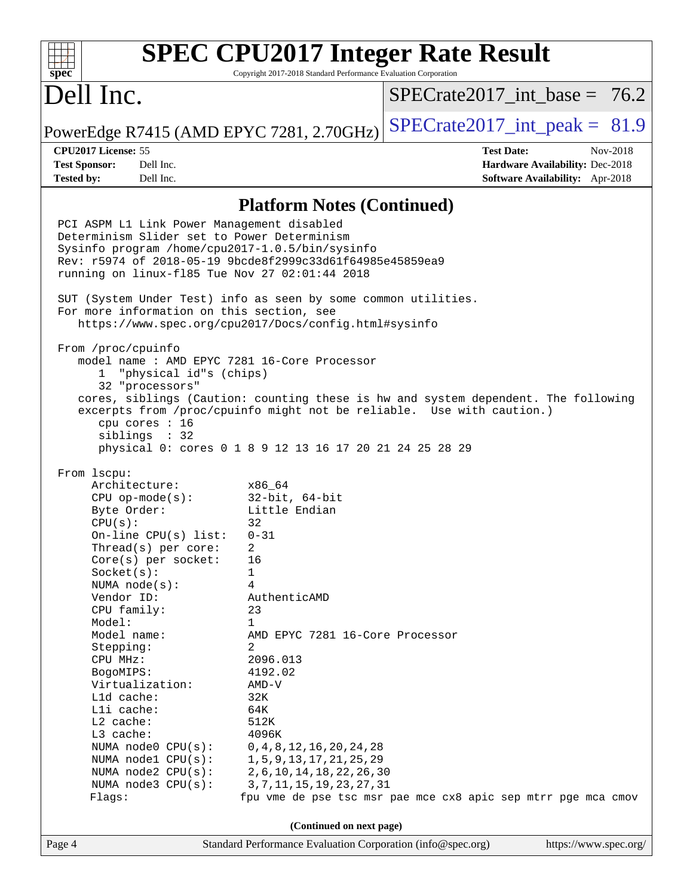#### **[SPEC CPU2017 Integer Rate Result](http://www.spec.org/auto/cpu2017/Docs/result-fields.html#SPECCPU2017IntegerRateResult)**  $+\ +$ **[spec](http://www.spec.org/)** Copyright 2017-2018 Standard Performance Evaluation Corporation Dell Inc. SPECrate2017 int\_base =  $76.2$ PowerEdge R7415 (AMD EPYC 7281, 2.70GHz) SPECrate  $2017$ \_int\_peak = 81.9 **[CPU2017 License:](http://www.spec.org/auto/cpu2017/Docs/result-fields.html#CPU2017License)** 55 **[Test Date:](http://www.spec.org/auto/cpu2017/Docs/result-fields.html#TestDate)** Nov-2018 **[Test Sponsor:](http://www.spec.org/auto/cpu2017/Docs/result-fields.html#TestSponsor)** Dell Inc. **[Hardware Availability:](http://www.spec.org/auto/cpu2017/Docs/result-fields.html#HardwareAvailability)** Dec-2018 **[Tested by:](http://www.spec.org/auto/cpu2017/Docs/result-fields.html#Testedby)** Dell Inc. **[Software Availability:](http://www.spec.org/auto/cpu2017/Docs/result-fields.html#SoftwareAvailability)** Apr-2018 **[Platform Notes \(Continued\)](http://www.spec.org/auto/cpu2017/Docs/result-fields.html#PlatformNotes)** PCI ASPM L1 Link Power Management disabled Determinism Slider set to Power Determinism Sysinfo program /home/cpu2017-1.0.5/bin/sysinfo Rev: r5974 of 2018-05-19 9bcde8f2999c33d61f64985e45859ea9 running on linux-fl85 Tue Nov 27 02:01:44 2018 SUT (System Under Test) info as seen by some common utilities. For more information on this section, see <https://www.spec.org/cpu2017/Docs/config.html#sysinfo> From /proc/cpuinfo model name : AMD EPYC 7281 16-Core Processor 1 "physical id"s (chips) 32 "processors" cores, siblings (Caution: counting these is hw and system dependent. The following excerpts from /proc/cpuinfo might not be reliable. Use with caution.) cpu cores : 16 siblings : 32 physical 0: cores 0 1 8 9 12 13 16 17 20 21 24 25 28 29 From lscpu: Architecture: x86\_64 CPU op-mode(s): 32-bit, 64-bit Byte Order: Little Endian  $CPU(s):$  32 On-line CPU(s) list: 0-31 Thread(s) per core: 2 Core(s) per socket: 16 Socket(s): 1 NUMA node(s): 4 Vendor ID: AuthenticAMD CPU family: 23 Model: 1 Model name: AMD EPYC 7281 16-Core Processor Stepping: 2 CPU MHz: 2096.013 BogoMIPS: 4192.02 Virtualization: AMD-V L1d cache: 32K L1i cache: 64K L2 cache: 512K L3 cache: 4096K NUMA node0 CPU(s): 0,4,8,12,16,20,24,28 NUMA node1 CPU(s): 1,5,9,13,17,21,25,29 NUMA node2 CPU(s): 2,6,10,14,18,22,26,30 NUMA node3 CPU(s): 3,7,11,15,19,23,27,31 Flags: fpu vme de pse tsc msr pae mce cx8 apic sep mtrr pge mca cmov **(Continued on next page)**Page 4 Standard Performance Evaluation Corporation [\(info@spec.org\)](mailto:info@spec.org) <https://www.spec.org/>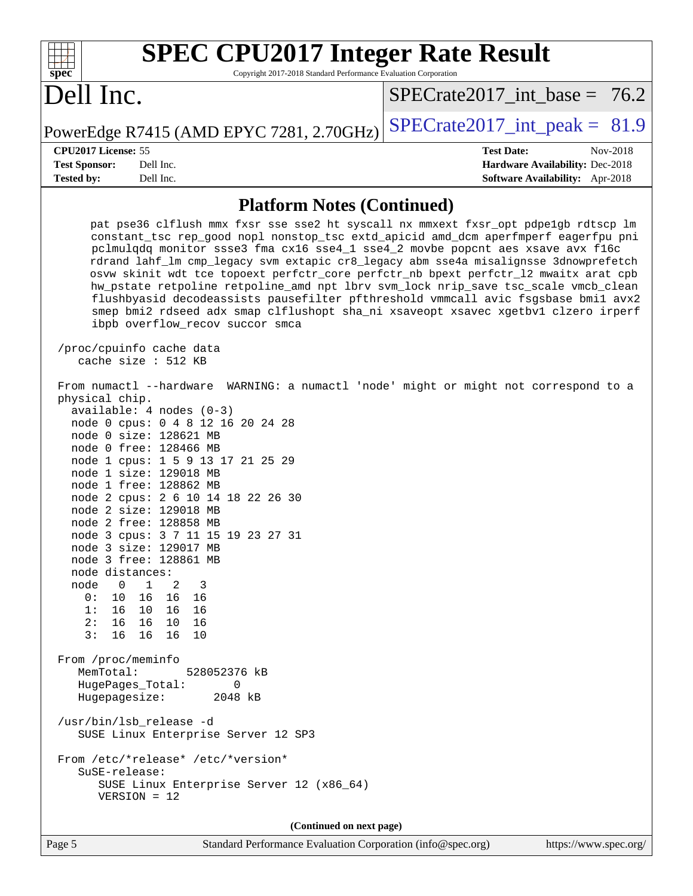| <b>SPEC CPU2017 Integer Rate Result</b>                                                                                                                                                                                                                                                                                                                                                                                                                                                                                                                                                                                                                                                                                                                                                                                                                                                                                                                                                                                                                                                                                                                                                                                                                                               |                                                                  |
|---------------------------------------------------------------------------------------------------------------------------------------------------------------------------------------------------------------------------------------------------------------------------------------------------------------------------------------------------------------------------------------------------------------------------------------------------------------------------------------------------------------------------------------------------------------------------------------------------------------------------------------------------------------------------------------------------------------------------------------------------------------------------------------------------------------------------------------------------------------------------------------------------------------------------------------------------------------------------------------------------------------------------------------------------------------------------------------------------------------------------------------------------------------------------------------------------------------------------------------------------------------------------------------|------------------------------------------------------------------|
| spec <sup>®</sup><br>Copyright 2017-2018 Standard Performance Evaluation Corporation                                                                                                                                                                                                                                                                                                                                                                                                                                                                                                                                                                                                                                                                                                                                                                                                                                                                                                                                                                                                                                                                                                                                                                                                  |                                                                  |
| Dell Inc.                                                                                                                                                                                                                                                                                                                                                                                                                                                                                                                                                                                                                                                                                                                                                                                                                                                                                                                                                                                                                                                                                                                                                                                                                                                                             | $SPECTate2017$ int base = 76.2                                   |
| PowerEdge R7415 (AMD EPYC 7281, 2.70GHz)                                                                                                                                                                                                                                                                                                                                                                                                                                                                                                                                                                                                                                                                                                                                                                                                                                                                                                                                                                                                                                                                                                                                                                                                                                              | $SPECrate2017\_int\_peak = 81.9$                                 |
| CPU2017 License: 55<br><b>Test Sponsor:</b><br>Dell Inc.                                                                                                                                                                                                                                                                                                                                                                                                                                                                                                                                                                                                                                                                                                                                                                                                                                                                                                                                                                                                                                                                                                                                                                                                                              | <b>Test Date:</b><br>Nov-2018<br>Hardware Availability: Dec-2018 |
| Tested by:<br>Dell Inc.                                                                                                                                                                                                                                                                                                                                                                                                                                                                                                                                                                                                                                                                                                                                                                                                                                                                                                                                                                                                                                                                                                                                                                                                                                                               | Software Availability: Apr-2018                                  |
| <b>Platform Notes (Continued)</b>                                                                                                                                                                                                                                                                                                                                                                                                                                                                                                                                                                                                                                                                                                                                                                                                                                                                                                                                                                                                                                                                                                                                                                                                                                                     |                                                                  |
| pat pse36 clflush mmx fxsr sse sse2 ht syscall nx mmxext fxsr_opt pdpelgb rdtscp lm<br>constant_tsc rep_good nopl nonstop_tsc extd_apicid amd_dcm aperfmperf eagerfpu pni<br>pclmulqdq monitor ssse3 fma cx16 sse4_1 sse4_2 movbe popcnt aes xsave avx f16c<br>rdrand lahf_lm cmp_legacy svm extapic cr8_legacy abm sse4a misalignsse 3dnowprefetch<br>osvw skinit wdt tce topoext perfctr_core perfctr_nb bpext perfctr_12 mwaitx arat cpb<br>hw_pstate retpoline retpoline_amd npt lbrv svm_lock nrip_save tsc_scale vmcb_clean<br>flushbyasid decodeassists pausefilter pfthreshold vmmcall avic fsgsbase bmil avx2<br>smep bmi2 rdseed adx smap clflushopt sha_ni xsaveopt xsavec xgetbvl clzero irperf<br>ibpb overflow_recov succor smca<br>/proc/cpuinfo cache data<br>cache size : 512 KB<br>From numactl --hardware WARNING: a numactl 'node' might or might not correspond to a<br>physical chip.<br>$available: 4 nodes (0-3)$<br>node 0 cpus: 0 4 8 12 16 20 24 28<br>node 0 size: 128621 MB<br>node 0 free: 128466 MB<br>node 1 cpus: 1 5 9 13 17 21 25 29<br>node 1 size: 129018 MB<br>node 1 free: 128862 MB<br>node 2 cpus: 2 6 10 14 18 22 26 30<br>node 2 size: 129018 MB<br>node 2 free: 128858 MB<br>node 3 cpus: 3 7 11 15 19 23 27 31<br>node 3 size: 129017 MB |                                                                  |
| node 3 free: 128861 MB<br>node distances:<br>$\overline{0}$<br>$\mathbf{1}$<br>node<br>2<br>3<br>16 16 16<br>0:<br>10                                                                                                                                                                                                                                                                                                                                                                                                                                                                                                                                                                                                                                                                                                                                                                                                                                                                                                                                                                                                                                                                                                                                                                 |                                                                  |
| 1: 16 10 16 16<br>16 10 16<br>2:16<br>3:<br>16<br>16 16<br>10                                                                                                                                                                                                                                                                                                                                                                                                                                                                                                                                                                                                                                                                                                                                                                                                                                                                                                                                                                                                                                                                                                                                                                                                                         |                                                                  |
| From /proc/meminfo<br>MemTotal:<br>528052376 kB<br>HugePages_Total:<br>0<br>Hugepagesize:<br>2048 kB                                                                                                                                                                                                                                                                                                                                                                                                                                                                                                                                                                                                                                                                                                                                                                                                                                                                                                                                                                                                                                                                                                                                                                                  |                                                                  |
| /usr/bin/lsb_release -d<br>SUSE Linux Enterprise Server 12 SP3                                                                                                                                                                                                                                                                                                                                                                                                                                                                                                                                                                                                                                                                                                                                                                                                                                                                                                                                                                                                                                                                                                                                                                                                                        |                                                                  |
| From /etc/*release* /etc/*version*<br>SuSE-release:<br>SUSE Linux Enterprise Server 12 (x86_64)<br>$VERSION = 12$                                                                                                                                                                                                                                                                                                                                                                                                                                                                                                                                                                                                                                                                                                                                                                                                                                                                                                                                                                                                                                                                                                                                                                     |                                                                  |
| (Continued on next page)                                                                                                                                                                                                                                                                                                                                                                                                                                                                                                                                                                                                                                                                                                                                                                                                                                                                                                                                                                                                                                                                                                                                                                                                                                                              |                                                                  |

Page 5 Standard Performance Evaluation Corporation [\(info@spec.org\)](mailto:info@spec.org) <https://www.spec.org/>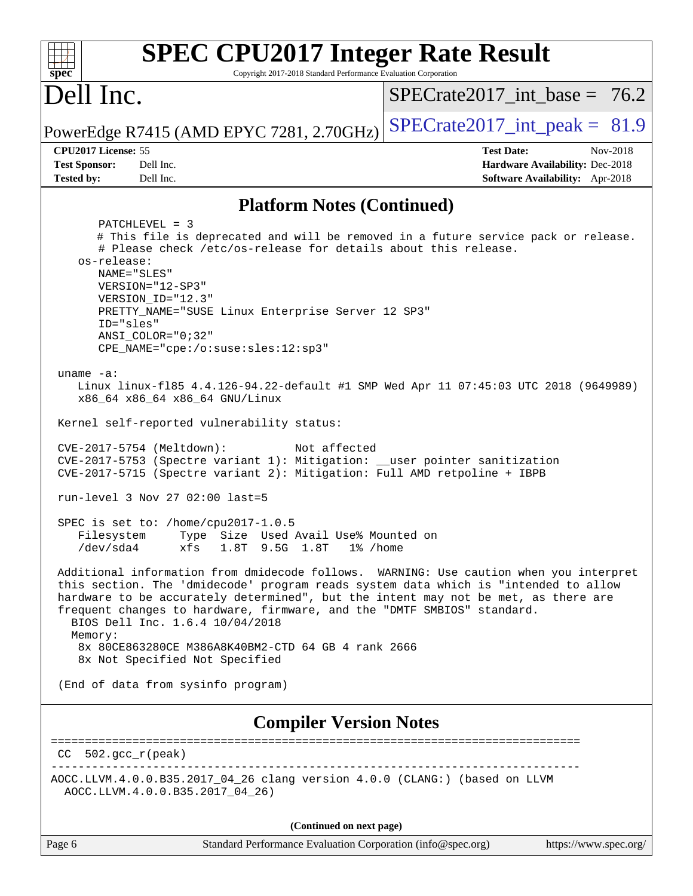| <b>SPEC CPU2017 Integer Rate Result</b>                                                                                                                                                                                                                                                                                                                                                                                                                                                                                                                                                                                                                                                                                                                                                                                                                                                                                                                                                                                                                                                                                                                                                                                                                                                                                                                                                                                                                                                                              |                                                                                                            |  |  |  |  |
|----------------------------------------------------------------------------------------------------------------------------------------------------------------------------------------------------------------------------------------------------------------------------------------------------------------------------------------------------------------------------------------------------------------------------------------------------------------------------------------------------------------------------------------------------------------------------------------------------------------------------------------------------------------------------------------------------------------------------------------------------------------------------------------------------------------------------------------------------------------------------------------------------------------------------------------------------------------------------------------------------------------------------------------------------------------------------------------------------------------------------------------------------------------------------------------------------------------------------------------------------------------------------------------------------------------------------------------------------------------------------------------------------------------------------------------------------------------------------------------------------------------------|------------------------------------------------------------------------------------------------------------|--|--|--|--|
| $spec^*$<br>Copyright 2017-2018 Standard Performance Evaluation Corporation<br>Dell Inc.                                                                                                                                                                                                                                                                                                                                                                                                                                                                                                                                                                                                                                                                                                                                                                                                                                                                                                                                                                                                                                                                                                                                                                                                                                                                                                                                                                                                                             | $SPECrate2017\_int\_base = 76.2$                                                                           |  |  |  |  |
| PowerEdge R7415 (AMD EPYC 7281, 2.70GHz)                                                                                                                                                                                                                                                                                                                                                                                                                                                                                                                                                                                                                                                                                                                                                                                                                                                                                                                                                                                                                                                                                                                                                                                                                                                                                                                                                                                                                                                                             | $SPECrate2017\_int\_peak = 81.9$                                                                           |  |  |  |  |
| CPU2017 License: 55<br><b>Test Sponsor:</b><br>Dell Inc.<br><b>Tested by:</b><br>Dell Inc.                                                                                                                                                                                                                                                                                                                                                                                                                                                                                                                                                                                                                                                                                                                                                                                                                                                                                                                                                                                                                                                                                                                                                                                                                                                                                                                                                                                                                           | <b>Test Date:</b><br>Nov-2018<br>Hardware Availability: Dec-2018<br><b>Software Availability:</b> Apr-2018 |  |  |  |  |
|                                                                                                                                                                                                                                                                                                                                                                                                                                                                                                                                                                                                                                                                                                                                                                                                                                                                                                                                                                                                                                                                                                                                                                                                                                                                                                                                                                                                                                                                                                                      |                                                                                                            |  |  |  |  |
| <b>Platform Notes (Continued)</b><br>$PATCHLEVEL = 3$<br># This file is deprecated and will be removed in a future service pack or release.<br># Please check /etc/os-release for details about this release.<br>os-release:<br>NAME="SLES"<br>VERSION="12-SP3"<br>VERSION_ID="12.3"<br>PRETTY_NAME="SUSE Linux Enterprise Server 12 SP3"<br>ID="sles"<br>$ANSI$ _COLOR=" $0:32$ "<br>CPE_NAME="cpe:/o:suse:sles:12:sp3"<br>uname $-a$ :<br>Linux linux-f185 4.4.126-94.22-default #1 SMP Wed Apr 11 07:45:03 UTC 2018 (9649989)<br>x86_64 x86_64 x86_64 GNU/Linux<br>Kernel self-reported vulnerability status:<br>CVE-2017-5754 (Meltdown):<br>Not affected<br>CVE-2017-5753 (Spectre variant 1): Mitigation: __user pointer sanitization<br>CVE-2017-5715 (Spectre variant 2): Mitigation: Full AMD retpoline + IBPB<br>run-level 3 Nov 27 02:00 last=5<br>SPEC is set to: /home/cpu2017-1.0.5<br>Type Size Used Avail Use% Mounted on<br>Filesystem<br>$/\text{dev}/\text{sd}a4$<br>1.8T 9.5G 1.8T<br>xfs<br>$1\%$ /home<br>Additional information from dmidecode follows. WARNING: Use caution when you interpret<br>this section. The 'dmidecode' program reads system data which is "intended to allow<br>hardware to be accurately determined", but the intent may not be met, as there are<br>frequent changes to hardware, firmware, and the "DMTF SMBIOS" standard.<br>BIOS Dell Inc. 1.6.4 10/04/2018<br>Memory:<br>8x 80CE863280CE M386A8K40BM2-CTD 64 GB 4 rank 2666<br>8x Not Specified Not Specified |                                                                                                            |  |  |  |  |
| <b>Compiler Version Notes</b>                                                                                                                                                                                                                                                                                                                                                                                                                                                                                                                                                                                                                                                                                                                                                                                                                                                                                                                                                                                                                                                                                                                                                                                                                                                                                                                                                                                                                                                                                        |                                                                                                            |  |  |  |  |
| $CC 502.gcc_r (peak)$                                                                                                                                                                                                                                                                                                                                                                                                                                                                                                                                                                                                                                                                                                                                                                                                                                                                                                                                                                                                                                                                                                                                                                                                                                                                                                                                                                                                                                                                                                |                                                                                                            |  |  |  |  |
| AOCC.LLVM.4.0.0.B35.2017_04_26 clang version 4.0.0 (CLANG:) (based on LLVM<br>AOCC.LLVM.4.0.0.B35.2017_04_26)                                                                                                                                                                                                                                                                                                                                                                                                                                                                                                                                                                                                                                                                                                                                                                                                                                                                                                                                                                                                                                                                                                                                                                                                                                                                                                                                                                                                        |                                                                                                            |  |  |  |  |
| (Continued on next page)                                                                                                                                                                                                                                                                                                                                                                                                                                                                                                                                                                                                                                                                                                                                                                                                                                                                                                                                                                                                                                                                                                                                                                                                                                                                                                                                                                                                                                                                                             |                                                                                                            |  |  |  |  |

Page 6 Standard Performance Evaluation Corporation [\(info@spec.org\)](mailto:info@spec.org) <https://www.spec.org/>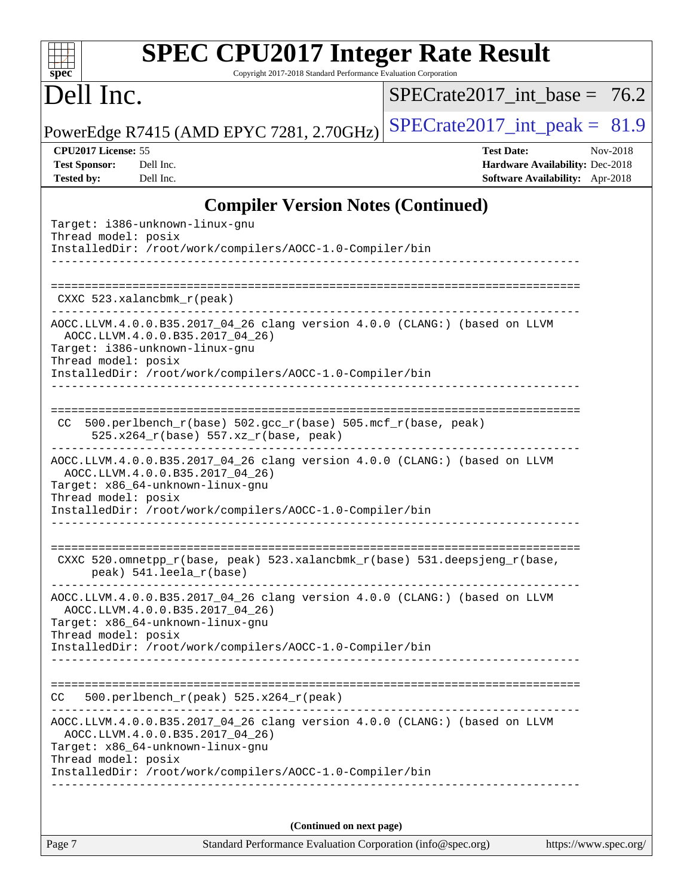| $Spec^*$  | <b>SPEC CPU2017 Integer Rate Result</b><br>Copyright 2017-2018 Standard Performance Evaluation Corporation |
|-----------|------------------------------------------------------------------------------------------------------------|
| Dell Inc. | SPECrate2017 int base = $76.2$                                                                             |
|           | $CDFC_{\text{match}}2017$ int read $10$                                                                    |

PowerEdge R7415 (AMD EPYC 7281, 2.70GHz)  $\left|$  [SPECrate2017\\_int\\_peak =](http://www.spec.org/auto/cpu2017/Docs/result-fields.html#SPECrate2017intpeak) 81.9

**[CPU2017 License:](http://www.spec.org/auto/cpu2017/Docs/result-fields.html#CPU2017License)** 55 **[Test Date:](http://www.spec.org/auto/cpu2017/Docs/result-fields.html#TestDate)** Nov-2018 **[Test Sponsor:](http://www.spec.org/auto/cpu2017/Docs/result-fields.html#TestSponsor)** Dell Inc. **[Hardware Availability:](http://www.spec.org/auto/cpu2017/Docs/result-fields.html#HardwareAvailability)** Dec-2018 **[Tested by:](http://www.spec.org/auto/cpu2017/Docs/result-fields.html#Testedby)** Dell Inc. **[Software Availability:](http://www.spec.org/auto/cpu2017/Docs/result-fields.html#SoftwareAvailability)** Apr-2018

## **[Compiler Version Notes \(Continued\)](http://www.spec.org/auto/cpu2017/Docs/result-fields.html#CompilerVersionNotes)**

| Target: i386-unknown-linux-gnu<br>Thread model: posix<br>InstalledDir: /root/work/compilers/AOCC-1.0-Compiler/bin                                                                                                                                                             |
|-------------------------------------------------------------------------------------------------------------------------------------------------------------------------------------------------------------------------------------------------------------------------------|
| CXXC 523.xalancbmk_r(peak)                                                                                                                                                                                                                                                    |
| AOCC.LLVM.4.0.0.B35.2017_04_26 clang version 4.0.0 (CLANG:) (based on LLVM<br>AOCC.LLVM.4.0.0.B35.2017_04_26)<br>Target: i386-unknown-linux-gnu<br>Thread model: posix<br>InstalledDir: /root/work/compilers/AOCC-1.0-Compiler/bin                                            |
| 500.perlbench_r(base) 502.gcc_r(base) 505.mcf_r(base, peak)<br>CC.<br>525.x264_r(base) 557.xz_r(base, peak)<br>-----------------------------                                                                                                                                  |
| AOCC.LLVM.4.0.0.B35.2017_04_26 clang version 4.0.0 (CLANG:) (based on LLVM<br>AOCC.LLVM.4.0.0.B35.2017 04 26)<br>Target: x86_64-unknown-linux-gnu<br>Thread model: posix<br>InstalledDir: /root/work/compilers/AOCC-1.0-Compiler/bin                                          |
| CXXC 520.omnetpp_r(base, peak) 523.xalancbmk_r(base) 531.deepsjeng_r(base,<br>peak) 541.leela_r(base)                                                                                                                                                                         |
| AOCC.LLVM.4.0.0.B35.2017_04_26 clang version 4.0.0 (CLANG:) (based on LLVM<br>AOCC.LLVM.4.0.0.B35.2017_04_26)<br>Target: x86_64-unknown-linux-gnu<br>Thread model: posix<br>InstalledDir: /root/work/compilers/AOCC-1.0-Compiler/bin                                          |
| $500. perlbench_r (peak) 525.x264_r (peak)$<br>CC                                                                                                                                                                                                                             |
| -------------------------------------<br>AOCC.LLVM.4.0.0.B35.2017_04_26 clang version 4.0.0 (CLANG:) (based on LLVM<br>AOCC.LLVM.4.0.0.B35.2017_04_26)<br>Target: x86_64-unknown-linux-gnu<br>Thread model: posix<br>InstalledDir: /root/work/compilers/AOCC-1.0-Compiler/bin |
|                                                                                                                                                                                                                                                                               |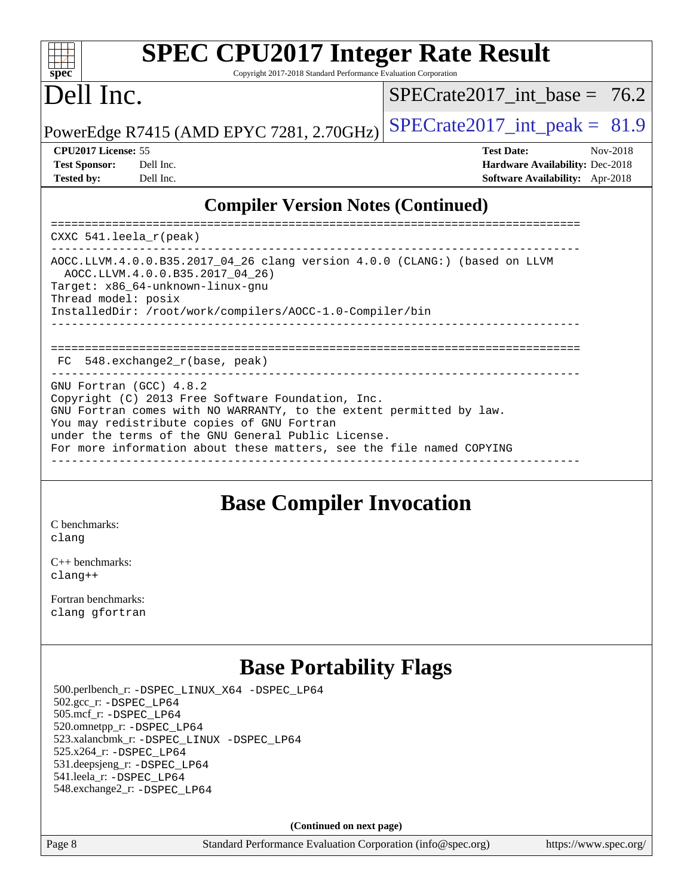#### $\pm$   $\mu$ **[spec](http://www.spec.org/)**

# **[SPEC CPU2017 Integer Rate Result](http://www.spec.org/auto/cpu2017/Docs/result-fields.html#SPECCPU2017IntegerRateResult)**

Copyright 2017-2018 Standard Performance Evaluation Corporation

# Dell Inc.

SPECrate2017 int\_base =  $76.2$ 

PowerEdge R7415 (AMD EPYC 7281, 2.70GHz)  $\left|$  [SPECrate2017\\_int\\_peak =](http://www.spec.org/auto/cpu2017/Docs/result-fields.html#SPECrate2017intpeak) 81.9

| <b>Test Sponsor:</b> | Dell In |
|----------------------|---------|
| <b>Tested by:</b>    | Dell In |

**[CPU2017 License:](http://www.spec.org/auto/cpu2017/Docs/result-fields.html#CPU2017License)** 55 **[Test Date:](http://www.spec.org/auto/cpu2017/Docs/result-fields.html#TestDate)** Nov-2018 **[Test Sponsor:](http://www.spec.org/auto/cpu2017/Docs/result-fields.html#TestSponsor)** Decree Sponsor: **[Hardware Availability:](http://www.spec.org/auto/cpu2017/Docs/result-fields.html#HardwareAvailability)** Dec-2018 **[Tested by:](http://www.spec.org/auto/cpu2017/Docs/result-fields.html#Testedby) [Software Availability:](http://www.spec.org/auto/cpu2017/Docs/result-fields.html#SoftwareAvailability)** Apr-2018

### **[Compiler Version Notes \(Continued\)](http://www.spec.org/auto/cpu2017/Docs/result-fields.html#CompilerVersionNotes)**

============================================================================== CXXC 541.leela\_r(peak) ------------------------------------------------------------------------------ AOCC.LLVM.4.0.0.B35.2017\_04\_26 clang version 4.0.0 (CLANG:) (based on LLVM AOCC.LLVM.4.0.0.B35.2017\_04\_26) Target: x86\_64-unknown-linux-gnu Thread model: posix InstalledDir: /root/work/compilers/AOCC-1.0-Compiler/bin ------------------------------------------------------------------------------ ============================================================================== FC 548.exchange2\_r(base, peak) GNU Fortran (GCC) 4.8.2 Copyright (C) 2013 Free Software Foundation, Inc. GNU Fortran comes with NO WARRANTY, to the extent permitted by law. You may redistribute copies of GNU Fortran under the terms of the GNU General Public License. For more information about these matters, see the file named COPYING ------------------------------------------------------------------------------

## **[Base Compiler Invocation](http://www.spec.org/auto/cpu2017/Docs/result-fields.html#BaseCompilerInvocation)**

[C benchmarks](http://www.spec.org/auto/cpu2017/Docs/result-fields.html#Cbenchmarks): [clang](http://www.spec.org/cpu2017/results/res2018q4/cpu2017-20181210-10150.flags.html#user_CCbase_Fclang3_a68b77bfed473bd9cdd22529af008e8306c2e3948617c8991604c1a2000ee4a73ef90dd8bc793e105fe4165a625d26dacbda4708d828ad19048918c071b363ec)

[C++ benchmarks:](http://www.spec.org/auto/cpu2017/Docs/result-fields.html#CXXbenchmarks) [clang++](http://www.spec.org/cpu2017/results/res2018q4/cpu2017-20181210-10150.flags.html#user_CXXbase_Fclang3_57a48582e5be507d19b2527b3e7d4f85d9b8669ffc9a8a0dbb9bcf949a918a58bbab411e0c4d14a3922022a3e425a90db94042683824c1806feff4324ca1000d)

[Fortran benchmarks](http://www.spec.org/auto/cpu2017/Docs/result-fields.html#Fortranbenchmarks): [clang](http://www.spec.org/cpu2017/results/res2018q4/cpu2017-20181210-10150.flags.html#user_FCbase_Fclang3_a68b77bfed473bd9cdd22529af008e8306c2e3948617c8991604c1a2000ee4a73ef90dd8bc793e105fe4165a625d26dacbda4708d828ad19048918c071b363ec) [gfortran](http://www.spec.org/cpu2017/results/res2018q4/cpu2017-20181210-10150.flags.html#user_FCbase_aocc-gfortran_128c91a56d61ddb07404721e65b8f9498c31a443dacbd3b7f212891090eca86e2d099b520f75b99e9e8ac4fdec01f4d15f0b65e47123ec4c42b0759045731a1f)

## **[Base Portability Flags](http://www.spec.org/auto/cpu2017/Docs/result-fields.html#BasePortabilityFlags)**

 500.perlbench\_r: [-DSPEC\\_LINUX\\_X64](http://www.spec.org/cpu2017/results/res2018q4/cpu2017-20181210-10150.flags.html#b500.perlbench_r_basePORTABILITY_DSPEC_LINUX_X64) [-DSPEC\\_LP64](http://www.spec.org/cpu2017/results/res2018q4/cpu2017-20181210-10150.flags.html#b500.perlbench_r_baseEXTRA_PORTABILITY_DSPEC_LP64) 502.gcc\_r: [-DSPEC\\_LP64](http://www.spec.org/cpu2017/results/res2018q4/cpu2017-20181210-10150.flags.html#suite_baseEXTRA_PORTABILITY502_gcc_r_DSPEC_LP64) 505.mcf\_r: [-DSPEC\\_LP64](http://www.spec.org/cpu2017/results/res2018q4/cpu2017-20181210-10150.flags.html#suite_baseEXTRA_PORTABILITY505_mcf_r_DSPEC_LP64) 520.omnetpp\_r: [-DSPEC\\_LP64](http://www.spec.org/cpu2017/results/res2018q4/cpu2017-20181210-10150.flags.html#suite_baseEXTRA_PORTABILITY520_omnetpp_r_DSPEC_LP64) 523.xalancbmk\_r: [-DSPEC\\_LINUX](http://www.spec.org/cpu2017/results/res2018q4/cpu2017-20181210-10150.flags.html#b523.xalancbmk_r_basePORTABILITY_DSPEC_LINUX) [-DSPEC\\_LP64](http://www.spec.org/cpu2017/results/res2018q4/cpu2017-20181210-10150.flags.html#suite_baseEXTRA_PORTABILITY523_xalancbmk_r_DSPEC_LP64) 525.x264\_r: [-DSPEC\\_LP64](http://www.spec.org/cpu2017/results/res2018q4/cpu2017-20181210-10150.flags.html#suite_baseEXTRA_PORTABILITY525_x264_r_DSPEC_LP64) 531.deepsjeng\_r: [-DSPEC\\_LP64](http://www.spec.org/cpu2017/results/res2018q4/cpu2017-20181210-10150.flags.html#suite_baseEXTRA_PORTABILITY531_deepsjeng_r_DSPEC_LP64) 541.leela\_r: [-DSPEC\\_LP64](http://www.spec.org/cpu2017/results/res2018q4/cpu2017-20181210-10150.flags.html#suite_baseEXTRA_PORTABILITY541_leela_r_DSPEC_LP64) 548.exchange2\_r: [-DSPEC\\_LP64](http://www.spec.org/cpu2017/results/res2018q4/cpu2017-20181210-10150.flags.html#suite_baseEXTRA_PORTABILITY548_exchange2_r_DSPEC_LP64)

**(Continued on next page)**

Page 8 Standard Performance Evaluation Corporation [\(info@spec.org\)](mailto:info@spec.org) <https://www.spec.org/>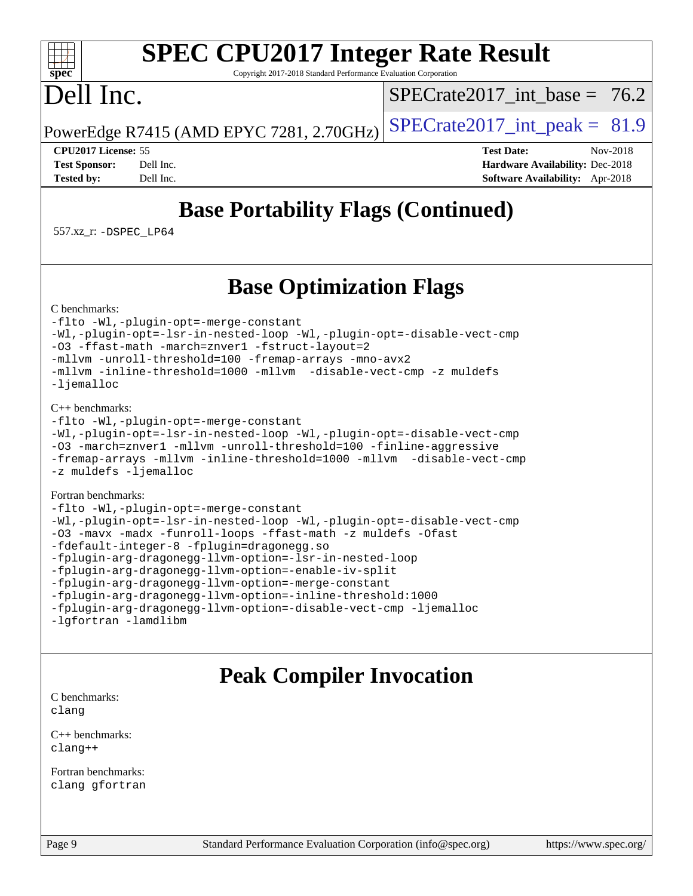### **[SPEC CPU2017 Integer Rate Result](http://www.spec.org/auto/cpu2017/Docs/result-fields.html#SPECCPU2017IntegerRateResult)** Copyright 2017-2018 Standard Performance Evaluation Corporation

# Dell Inc.

**[spec](http://www.spec.org/)**

 $+\ +$ 

SPECrate2017 int\_base =  $76.2$ 

PowerEdge R7415 (AMD EPYC 7281, 2.70GHz)  $\left|$  [SPECrate2017\\_int\\_peak =](http://www.spec.org/auto/cpu2017/Docs/result-fields.html#SPECrate2017intpeak) 81.9

**[CPU2017 License:](http://www.spec.org/auto/cpu2017/Docs/result-fields.html#CPU2017License)** 55 **[Test Date:](http://www.spec.org/auto/cpu2017/Docs/result-fields.html#TestDate)** Nov-2018 **[Test Sponsor:](http://www.spec.org/auto/cpu2017/Docs/result-fields.html#TestSponsor)** Dell Inc. **[Hardware Availability:](http://www.spec.org/auto/cpu2017/Docs/result-fields.html#HardwareAvailability)** Dec-2018 **[Tested by:](http://www.spec.org/auto/cpu2017/Docs/result-fields.html#Testedby)** Dell Inc. **[Software Availability:](http://www.spec.org/auto/cpu2017/Docs/result-fields.html#SoftwareAvailability)** Apr-2018

# **[Base Portability Flags \(Continued\)](http://www.spec.org/auto/cpu2017/Docs/result-fields.html#BasePortabilityFlags)**

557.xz\_r: [-DSPEC\\_LP64](http://www.spec.org/cpu2017/results/res2018q4/cpu2017-20181210-10150.flags.html#suite_baseEXTRA_PORTABILITY557_xz_r_DSPEC_LP64)

# **[Base Optimization Flags](http://www.spec.org/auto/cpu2017/Docs/result-fields.html#BaseOptimizationFlags)**

[C benchmarks](http://www.spec.org/auto/cpu2017/Docs/result-fields.html#Cbenchmarks):

[-flto](http://www.spec.org/cpu2017/results/res2018q4/cpu2017-20181210-10150.flags.html#user_CCbase_lto) [-Wl,-plugin-opt=-merge-constant](http://www.spec.org/cpu2017/results/res2018q4/cpu2017-20181210-10150.flags.html#user_CCbase_F-merge-constant_1d79771b5442061d9c8e05556c6b0c655e6c9e66f8c6936b0129d434b6acd2b1cf1b7cd2540d1570ff636111b08a6bc36e2e61fc34531f8ef7c1a34c57be1dbb) [-Wl,-plugin-opt=-lsr-in-nested-loop](http://www.spec.org/cpu2017/results/res2018q4/cpu2017-20181210-10150.flags.html#user_CCbase_lsr-in-nested-loop_1cff93fd95162f5e77640b5271e8bed680fb62b4a8d96fb8ab217ff3244646f1fbb342e31af83c263403bbf5249c7dc7732d5c86c3eab4cc8d32dcb7a6f33ca0) [-Wl,-plugin-opt=-disable-vect-cmp](http://www.spec.org/cpu2017/results/res2018q4/cpu2017-20181210-10150.flags.html#user_CCbase_disable-vect-cmp_1056b9a09b8ddc126e023b5f99ae33179ef568835465af9b7adeacf4b6480ff575c8aee439265bcfbcbf086f33f2fa5cca2bc4cf52b64c0cd2e10f6503cba02d) [-O3](http://www.spec.org/cpu2017/results/res2018q4/cpu2017-20181210-10150.flags.html#user_CCbase_F-O3) [-ffast-math](http://www.spec.org/cpu2017/results/res2018q4/cpu2017-20181210-10150.flags.html#user_CCbase_F-aocc-ffast-math_78dd175de6534c2005829757b9b0f2878e57b067cce6f7c443b2250ac68890960e2e1b320ca04b81ff7c62c6f87870ed05f06baf7875eea2990d38e3b73c71f1) [-march=znver1](http://www.spec.org/cpu2017/results/res2018q4/cpu2017-20181210-10150.flags.html#user_CCbase_F-march) [-fstruct-layout=2](http://www.spec.org/cpu2017/results/res2018q4/cpu2017-20181210-10150.flags.html#user_CCbase_F-fstruct-layout_a05ec02e17cdf7fe0c3950a6b005251b2b1e5e67af2b5298cf72714730c3d59ba290e75546b10aa22dac074c15ceaca36ae22c62cb51bcb2fbdc9dc4e7e222c4) [-mllvm -unroll-threshold=100](http://www.spec.org/cpu2017/results/res2018q4/cpu2017-20181210-10150.flags.html#user_CCbase_F-unroll-threshold_2755d0c78138845d361fa1543e3a063fffa198df9b3edf0cfb856bbc88a81e1769b12ac7a550c5d35197be55360db1a3f95a8d1304df999456cabf5120c45168) [-fremap-arrays](http://www.spec.org/cpu2017/results/res2018q4/cpu2017-20181210-10150.flags.html#user_CCbase_F-fremap-arrays) [-mno-avx2](http://www.spec.org/cpu2017/results/res2018q4/cpu2017-20181210-10150.flags.html#user_CCbase_F-mno-avx2) [-mllvm -inline-threshold=1000](http://www.spec.org/cpu2017/results/res2018q4/cpu2017-20181210-10150.flags.html#user_CCbase_inline-threshold_b7832241b0a6397e4ecdbaf0eb7defdc10f885c2a282fa3240fdc99844d543fda39cf8a4a9dccf68cf19b5438ac3b455264f478df15da0f4988afa40d8243bab) [-mllvm -disable-vect-cmp](http://www.spec.org/cpu2017/results/res2018q4/cpu2017-20181210-10150.flags.html#user_CCbase_disable-vect-cmp_d995c9eb800469498c6893dc847c54c903d59847b18cb2ac22011b9af7010c96d2d48d3c6b41246fe86945001509aa4dc528afb61cb238fd3b256a31781ea0cf) [-z muldefs](http://www.spec.org/cpu2017/results/res2018q4/cpu2017-20181210-10150.flags.html#user_CCbase_F-z-muldefs) [-ljemalloc](http://www.spec.org/cpu2017/results/res2018q4/cpu2017-20181210-10150.flags.html#user_CCbase_jemalloc-lib_d1249b907c500fa1c0672f44f562e3d0f79738ae9e3c4a9c376d49f265a04b9c99b167ecedbf6711b3085be911c67ff61f150a17b3472be731631ba4d0471706)

#### [C++ benchmarks:](http://www.spec.org/auto/cpu2017/Docs/result-fields.html#CXXbenchmarks)

```
-flto -Wl,-plugin-opt=-merge-constant
-Wl,-plugin-opt=-lsr-in-nested-loop -Wl,-plugin-opt=-disable-vect-cmp
-O3 -march=znver1 -mllvm -unroll-threshold=100 -finline-aggressive
-fremap-arrays -mllvm -inline-threshold=1000 -mllvm -disable-vect-cmp
-z muldefs -ljemalloc
```
#### [Fortran benchmarks](http://www.spec.org/auto/cpu2017/Docs/result-fields.html#Fortranbenchmarks):

```
-flto -Wl,-plugin-opt=-merge-constant
-Wl,-plugin-opt=-lsr-in-nested-loop -Wl,-plugin-opt=-disable-vect-cmp
-O3 -mavx -madx -funroll-loops -ffast-math -z muldefs -Ofast
-fdefault-integer-8 -fplugin=dragonegg.so
-fplugin-arg-dragonegg-llvm-option=-lsr-in-nested-loop
-fplugin-arg-dragonegg-llvm-option=-enable-iv-split
-fplugin-arg-dragonegg-llvm-option=-merge-constant
-fplugin-arg-dragonegg-llvm-option=-inline-threshold:1000
-fplugin-arg-dragonegg-llvm-option=-disable-vect-cmp -ljemalloc
-lgfortran -lamdlibm
```
## **[Peak Compiler Invocation](http://www.spec.org/auto/cpu2017/Docs/result-fields.html#PeakCompilerInvocation)**

[C benchmarks](http://www.spec.org/auto/cpu2017/Docs/result-fields.html#Cbenchmarks): [clang](http://www.spec.org/cpu2017/results/res2018q4/cpu2017-20181210-10150.flags.html#user_CCpeak_Fclang3_a68b77bfed473bd9cdd22529af008e8306c2e3948617c8991604c1a2000ee4a73ef90dd8bc793e105fe4165a625d26dacbda4708d828ad19048918c071b363ec)

[C++ benchmarks:](http://www.spec.org/auto/cpu2017/Docs/result-fields.html#CXXbenchmarks) [clang++](http://www.spec.org/cpu2017/results/res2018q4/cpu2017-20181210-10150.flags.html#user_CXXpeak_Fclang3_57a48582e5be507d19b2527b3e7d4f85d9b8669ffc9a8a0dbb9bcf949a918a58bbab411e0c4d14a3922022a3e425a90db94042683824c1806feff4324ca1000d)

[Fortran benchmarks](http://www.spec.org/auto/cpu2017/Docs/result-fields.html#Fortranbenchmarks): [clang](http://www.spec.org/cpu2017/results/res2018q4/cpu2017-20181210-10150.flags.html#user_FCpeak_Fclang3_a68b77bfed473bd9cdd22529af008e8306c2e3948617c8991604c1a2000ee4a73ef90dd8bc793e105fe4165a625d26dacbda4708d828ad19048918c071b363ec) [gfortran](http://www.spec.org/cpu2017/results/res2018q4/cpu2017-20181210-10150.flags.html#user_FCpeak_aocc-gfortran_128c91a56d61ddb07404721e65b8f9498c31a443dacbd3b7f212891090eca86e2d099b520f75b99e9e8ac4fdec01f4d15f0b65e47123ec4c42b0759045731a1f)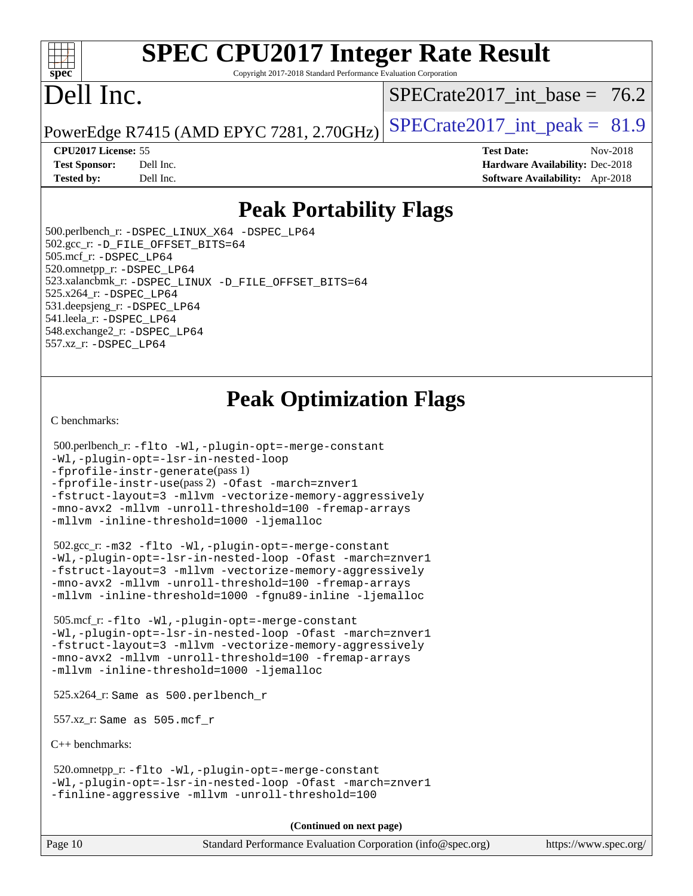#### $+\ +$ **[spec](http://www.spec.org/)**

# **[SPEC CPU2017 Integer Rate Result](http://www.spec.org/auto/cpu2017/Docs/result-fields.html#SPECCPU2017IntegerRateResult)**

Copyright 2017-2018 Standard Performance Evaluation Corporation

# Dell Inc.

 $SPECrate2017\_int\_base = 76.2$ 

PowerEdge R7415 (AMD EPYC 7281, 2.70GHz)  $\left|$  [SPECrate2017\\_int\\_peak =](http://www.spec.org/auto/cpu2017/Docs/result-fields.html#SPECrate2017intpeak) 81.9

**[Tested by:](http://www.spec.org/auto/cpu2017/Docs/result-fields.html#Testedby)** Dell Inc. **[Software Availability:](http://www.spec.org/auto/cpu2017/Docs/result-fields.html#SoftwareAvailability)** Apr-2018

**[CPU2017 License:](http://www.spec.org/auto/cpu2017/Docs/result-fields.html#CPU2017License)** 55 **[Test Date:](http://www.spec.org/auto/cpu2017/Docs/result-fields.html#TestDate)** Nov-2018 **[Test Sponsor:](http://www.spec.org/auto/cpu2017/Docs/result-fields.html#TestSponsor)** Dell Inc. **[Hardware Availability:](http://www.spec.org/auto/cpu2017/Docs/result-fields.html#HardwareAvailability)** Dec-2018

# **[Peak Portability Flags](http://www.spec.org/auto/cpu2017/Docs/result-fields.html#PeakPortabilityFlags)**

 500.perlbench\_r: [-DSPEC\\_LINUX\\_X64](http://www.spec.org/cpu2017/results/res2018q4/cpu2017-20181210-10150.flags.html#b500.perlbench_r_peakPORTABILITY_DSPEC_LINUX_X64) [-DSPEC\\_LP64](http://www.spec.org/cpu2017/results/res2018q4/cpu2017-20181210-10150.flags.html#b500.perlbench_r_peakEXTRA_PORTABILITY_DSPEC_LP64) 502.gcc\_r: [-D\\_FILE\\_OFFSET\\_BITS=64](http://www.spec.org/cpu2017/results/res2018q4/cpu2017-20181210-10150.flags.html#user_peakEXTRA_PORTABILITY502_gcc_r_F-D_FILE_OFFSET_BITS_5ae949a99b284ddf4e95728d47cb0843d81b2eb0e18bdfe74bbf0f61d0b064f4bda2f10ea5eb90e1dcab0e84dbc592acfc5018bc955c18609f94ddb8d550002c) 505.mcf\_r: [-DSPEC\\_LP64](http://www.spec.org/cpu2017/results/res2018q4/cpu2017-20181210-10150.flags.html#suite_peakEXTRA_PORTABILITY505_mcf_r_DSPEC_LP64) 520.omnetpp\_r: [-DSPEC\\_LP64](http://www.spec.org/cpu2017/results/res2018q4/cpu2017-20181210-10150.flags.html#suite_peakEXTRA_PORTABILITY520_omnetpp_r_DSPEC_LP64) 523.xalancbmk\_r: [-DSPEC\\_LINUX](http://www.spec.org/cpu2017/results/res2018q4/cpu2017-20181210-10150.flags.html#b523.xalancbmk_r_peakPORTABILITY_DSPEC_LINUX) [-D\\_FILE\\_OFFSET\\_BITS=64](http://www.spec.org/cpu2017/results/res2018q4/cpu2017-20181210-10150.flags.html#user_peakEXTRA_PORTABILITY523_xalancbmk_r_F-D_FILE_OFFSET_BITS_5ae949a99b284ddf4e95728d47cb0843d81b2eb0e18bdfe74bbf0f61d0b064f4bda2f10ea5eb90e1dcab0e84dbc592acfc5018bc955c18609f94ddb8d550002c) 525.x264\_r: [-DSPEC\\_LP64](http://www.spec.org/cpu2017/results/res2018q4/cpu2017-20181210-10150.flags.html#suite_peakEXTRA_PORTABILITY525_x264_r_DSPEC_LP64) 531.deepsjeng\_r: [-DSPEC\\_LP64](http://www.spec.org/cpu2017/results/res2018q4/cpu2017-20181210-10150.flags.html#suite_peakEXTRA_PORTABILITY531_deepsjeng_r_DSPEC_LP64) 541.leela\_r: [-DSPEC\\_LP64](http://www.spec.org/cpu2017/results/res2018q4/cpu2017-20181210-10150.flags.html#suite_peakEXTRA_PORTABILITY541_leela_r_DSPEC_LP64) 548.exchange2\_r: [-DSPEC\\_LP64](http://www.spec.org/cpu2017/results/res2018q4/cpu2017-20181210-10150.flags.html#suite_peakEXTRA_PORTABILITY548_exchange2_r_DSPEC_LP64) 557.xz\_r: [-DSPEC\\_LP64](http://www.spec.org/cpu2017/results/res2018q4/cpu2017-20181210-10150.flags.html#suite_peakEXTRA_PORTABILITY557_xz_r_DSPEC_LP64)

# **[Peak Optimization Flags](http://www.spec.org/auto/cpu2017/Docs/result-fields.html#PeakOptimizationFlags)**

[C benchmarks](http://www.spec.org/auto/cpu2017/Docs/result-fields.html#Cbenchmarks):

```
 500.perlbench_r: -flto -Wl,-plugin-opt=-merge-constant
-Wl,-plugin-opt=-lsr-in-nested-loop
-fprofile-instr-generate(pass 1)
-fprofile-instr-use(pass 2) -Ofast -march=znver1
-fstruct-layout=3 -mllvm -vectorize-memory-aggressively
-mno-avx2 -mllvm -unroll-threshold=100 -fremap-arrays
-mllvm -inline-threshold=1000 -ljemalloc
```
 502.gcc\_r: [-m32](http://www.spec.org/cpu2017/results/res2018q4/cpu2017-20181210-10150.flags.html#user_peakCCLD502_gcc_r_F-m32) [-flto](http://www.spec.org/cpu2017/results/res2018q4/cpu2017-20181210-10150.flags.html#user_peakCOPTIMIZEEXTRA_LDFLAGS502_gcc_r_lto) [-Wl,-plugin-opt=-merge-constant](http://www.spec.org/cpu2017/results/res2018q4/cpu2017-20181210-10150.flags.html#user_peakEXTRA_LDFLAGS502_gcc_r_F-merge-constant_1d79771b5442061d9c8e05556c6b0c655e6c9e66f8c6936b0129d434b6acd2b1cf1b7cd2540d1570ff636111b08a6bc36e2e61fc34531f8ef7c1a34c57be1dbb) [-Wl,-plugin-opt=-lsr-in-nested-loop](http://www.spec.org/cpu2017/results/res2018q4/cpu2017-20181210-10150.flags.html#user_peakEXTRA_LDFLAGS502_gcc_r_lsr-in-nested-loop_1cff93fd95162f5e77640b5271e8bed680fb62b4a8d96fb8ab217ff3244646f1fbb342e31af83c263403bbf5249c7dc7732d5c86c3eab4cc8d32dcb7a6f33ca0) [-Ofast](http://www.spec.org/cpu2017/results/res2018q4/cpu2017-20181210-10150.flags.html#user_peakCOPTIMIZE502_gcc_r_F-aocc-Ofast) [-march=znver1](http://www.spec.org/cpu2017/results/res2018q4/cpu2017-20181210-10150.flags.html#user_peakCOPTIMIZE502_gcc_r_F-march) [-fstruct-layout=3](http://www.spec.org/cpu2017/results/res2018q4/cpu2017-20181210-10150.flags.html#user_peakCOPTIMIZE502_gcc_r_F-fstruct-layout) [-mllvm -vectorize-memory-aggressively](http://www.spec.org/cpu2017/results/res2018q4/cpu2017-20181210-10150.flags.html#user_peakCOPTIMIZE502_gcc_r_vectorize-memory-aggressively_24b72a4417f50ade9e698c5b3bed87ab456cc6fc8ec6439480cb84f36ad6a3975af6e87206dea402e3871a1464ff3d60bc798e0250f330177ba629a260df1857) [-mno-avx2](http://www.spec.org/cpu2017/results/res2018q4/cpu2017-20181210-10150.flags.html#user_peakCOPTIMIZE502_gcc_r_F-mno-avx2) [-mllvm -unroll-threshold=100](http://www.spec.org/cpu2017/results/res2018q4/cpu2017-20181210-10150.flags.html#user_peakCOPTIMIZE502_gcc_r_F-unroll-threshold_2755d0c78138845d361fa1543e3a063fffa198df9b3edf0cfb856bbc88a81e1769b12ac7a550c5d35197be55360db1a3f95a8d1304df999456cabf5120c45168) [-fremap-arrays](http://www.spec.org/cpu2017/results/res2018q4/cpu2017-20181210-10150.flags.html#user_peakCOPTIMIZE502_gcc_r_F-fremap-arrays) [-mllvm -inline-threshold=1000](http://www.spec.org/cpu2017/results/res2018q4/cpu2017-20181210-10150.flags.html#user_peakCOPTIMIZE502_gcc_r_inline-threshold_b7832241b0a6397e4ecdbaf0eb7defdc10f885c2a282fa3240fdc99844d543fda39cf8a4a9dccf68cf19b5438ac3b455264f478df15da0f4988afa40d8243bab) [-fgnu89-inline](http://www.spec.org/cpu2017/results/res2018q4/cpu2017-20181210-10150.flags.html#user_peakEXTRA_COPTIMIZE502_gcc_r_F-fgnu89-inline) [-ljemalloc](http://www.spec.org/cpu2017/results/res2018q4/cpu2017-20181210-10150.flags.html#user_peakEXTRA_LIBS502_gcc_r_jemalloc-lib_d1249b907c500fa1c0672f44f562e3d0f79738ae9e3c4a9c376d49f265a04b9c99b167ecedbf6711b3085be911c67ff61f150a17b3472be731631ba4d0471706)

 505.mcf\_r: [-flto](http://www.spec.org/cpu2017/results/res2018q4/cpu2017-20181210-10150.flags.html#user_peakCOPTIMIZEEXTRA_LDFLAGS505_mcf_r_lto) [-Wl,-plugin-opt=-merge-constant](http://www.spec.org/cpu2017/results/res2018q4/cpu2017-20181210-10150.flags.html#user_peakEXTRA_LDFLAGS505_mcf_r_F-merge-constant_1d79771b5442061d9c8e05556c6b0c655e6c9e66f8c6936b0129d434b6acd2b1cf1b7cd2540d1570ff636111b08a6bc36e2e61fc34531f8ef7c1a34c57be1dbb) [-Wl,-plugin-opt=-lsr-in-nested-loop](http://www.spec.org/cpu2017/results/res2018q4/cpu2017-20181210-10150.flags.html#user_peakEXTRA_LDFLAGS505_mcf_r_lsr-in-nested-loop_1cff93fd95162f5e77640b5271e8bed680fb62b4a8d96fb8ab217ff3244646f1fbb342e31af83c263403bbf5249c7dc7732d5c86c3eab4cc8d32dcb7a6f33ca0) [-Ofast](http://www.spec.org/cpu2017/results/res2018q4/cpu2017-20181210-10150.flags.html#user_peakCOPTIMIZE505_mcf_r_F-aocc-Ofast) [-march=znver1](http://www.spec.org/cpu2017/results/res2018q4/cpu2017-20181210-10150.flags.html#user_peakCOPTIMIZE505_mcf_r_F-march) [-fstruct-layout=3](http://www.spec.org/cpu2017/results/res2018q4/cpu2017-20181210-10150.flags.html#user_peakCOPTIMIZE505_mcf_r_F-fstruct-layout) [-mllvm -vectorize-memory-aggressively](http://www.spec.org/cpu2017/results/res2018q4/cpu2017-20181210-10150.flags.html#user_peakCOPTIMIZE505_mcf_r_vectorize-memory-aggressively_24b72a4417f50ade9e698c5b3bed87ab456cc6fc8ec6439480cb84f36ad6a3975af6e87206dea402e3871a1464ff3d60bc798e0250f330177ba629a260df1857) [-mno-avx2](http://www.spec.org/cpu2017/results/res2018q4/cpu2017-20181210-10150.flags.html#user_peakCOPTIMIZE505_mcf_r_F-mno-avx2) [-mllvm -unroll-threshold=100](http://www.spec.org/cpu2017/results/res2018q4/cpu2017-20181210-10150.flags.html#user_peakCOPTIMIZE505_mcf_r_F-unroll-threshold_2755d0c78138845d361fa1543e3a063fffa198df9b3edf0cfb856bbc88a81e1769b12ac7a550c5d35197be55360db1a3f95a8d1304df999456cabf5120c45168) [-fremap-arrays](http://www.spec.org/cpu2017/results/res2018q4/cpu2017-20181210-10150.flags.html#user_peakCOPTIMIZE505_mcf_r_F-fremap-arrays) [-mllvm -inline-threshold=1000](http://www.spec.org/cpu2017/results/res2018q4/cpu2017-20181210-10150.flags.html#user_peakCOPTIMIZE505_mcf_r_inline-threshold_b7832241b0a6397e4ecdbaf0eb7defdc10f885c2a282fa3240fdc99844d543fda39cf8a4a9dccf68cf19b5438ac3b455264f478df15da0f4988afa40d8243bab) [-ljemalloc](http://www.spec.org/cpu2017/results/res2018q4/cpu2017-20181210-10150.flags.html#user_peakEXTRA_LIBS505_mcf_r_jemalloc-lib_d1249b907c500fa1c0672f44f562e3d0f79738ae9e3c4a9c376d49f265a04b9c99b167ecedbf6711b3085be911c67ff61f150a17b3472be731631ba4d0471706)

525.x264\_r: Same as 500.perlbench\_r

557.xz\_r: Same as 505.mcf\_r

[C++ benchmarks:](http://www.spec.org/auto/cpu2017/Docs/result-fields.html#CXXbenchmarks)

 520.omnetpp\_r: [-flto](http://www.spec.org/cpu2017/results/res2018q4/cpu2017-20181210-10150.flags.html#user_peakCXXOPTIMIZEEXTRA_LDFLAGS520_omnetpp_r_lto) [-Wl,-plugin-opt=-merge-constant](http://www.spec.org/cpu2017/results/res2018q4/cpu2017-20181210-10150.flags.html#user_peakEXTRA_LDFLAGS520_omnetpp_r_F-merge-constant_1d79771b5442061d9c8e05556c6b0c655e6c9e66f8c6936b0129d434b6acd2b1cf1b7cd2540d1570ff636111b08a6bc36e2e61fc34531f8ef7c1a34c57be1dbb) [-Wl,-plugin-opt=-lsr-in-nested-loop](http://www.spec.org/cpu2017/results/res2018q4/cpu2017-20181210-10150.flags.html#user_peakEXTRA_LDFLAGS520_omnetpp_r_lsr-in-nested-loop_1cff93fd95162f5e77640b5271e8bed680fb62b4a8d96fb8ab217ff3244646f1fbb342e31af83c263403bbf5249c7dc7732d5c86c3eab4cc8d32dcb7a6f33ca0) [-Ofast](http://www.spec.org/cpu2017/results/res2018q4/cpu2017-20181210-10150.flags.html#user_peakCXXOPTIMIZE520_omnetpp_r_F-aocc-Ofast) [-march=znver1](http://www.spec.org/cpu2017/results/res2018q4/cpu2017-20181210-10150.flags.html#user_peakCXXOPTIMIZE520_omnetpp_r_F-march) [-finline-aggressive](http://www.spec.org/cpu2017/results/res2018q4/cpu2017-20181210-10150.flags.html#user_peakCXXOPTIMIZE520_omnetpp_r_F-finline-aggressive) [-mllvm -unroll-threshold=100](http://www.spec.org/cpu2017/results/res2018q4/cpu2017-20181210-10150.flags.html#user_peakCXXOPTIMIZE520_omnetpp_r_F-unroll-threshold_2755d0c78138845d361fa1543e3a063fffa198df9b3edf0cfb856bbc88a81e1769b12ac7a550c5d35197be55360db1a3f95a8d1304df999456cabf5120c45168)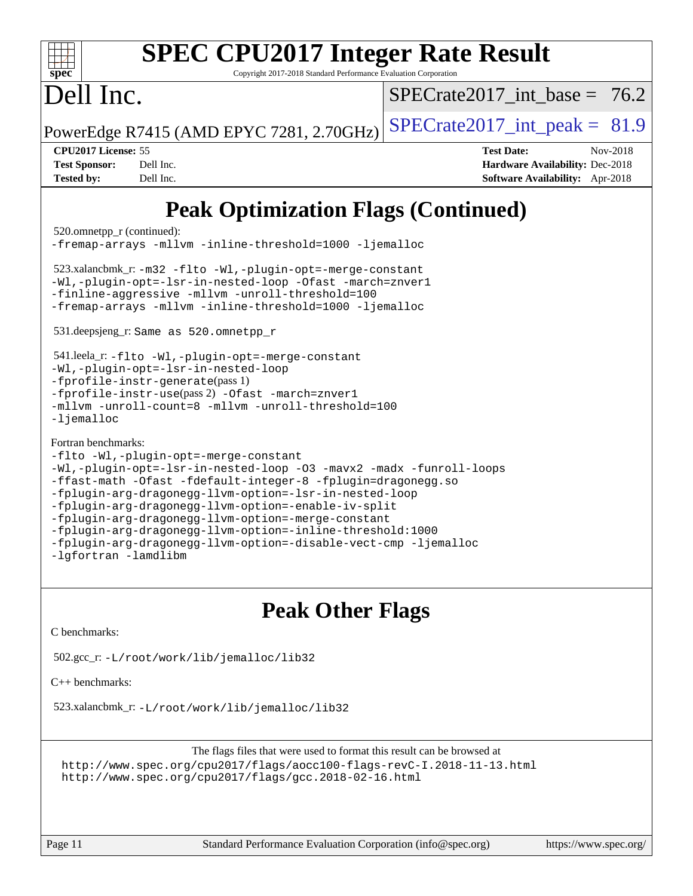| <b>SPEC CPU2017 Integer Rate Result</b><br>spec <sup>®</sup><br>Copyright 2017-2018 Standard Performance Evaluation Corporation                                                                                                                                                                                                                                                                                                                                                                                                                         |                                                                                                                   |  |  |  |  |
|---------------------------------------------------------------------------------------------------------------------------------------------------------------------------------------------------------------------------------------------------------------------------------------------------------------------------------------------------------------------------------------------------------------------------------------------------------------------------------------------------------------------------------------------------------|-------------------------------------------------------------------------------------------------------------------|--|--|--|--|
| Dell Inc.                                                                                                                                                                                                                                                                                                                                                                                                                                                                                                                                               | $SPECrate2017$ int base = 76.2                                                                                    |  |  |  |  |
| PowerEdge R7415 (AMD EPYC 7281, 2.70GHz)                                                                                                                                                                                                                                                                                                                                                                                                                                                                                                                | $SPECTate2017\_int\_peak = 81.9$                                                                                  |  |  |  |  |
| CPU2017 License: 55<br><b>Test Sponsor:</b><br>Dell Inc.<br><b>Tested by:</b><br>Dell Inc.                                                                                                                                                                                                                                                                                                                                                                                                                                                              | <b>Test Date:</b><br>Nov-2018<br><b>Hardware Availability: Dec-2018</b><br><b>Software Availability:</b> Apr-2018 |  |  |  |  |
| <b>Peak Optimization Flags (Continued)</b><br>520.omnetpp_r (continued):<br>-fremap-arrays -mllvm -inline-threshold=1000 -ljemalloc<br>523.xalancbmk_r: -m32 -flto -Wl,-plugin-opt=-merge-constant<br>-Wl,-plugin-opt=-lsr-in-nested-loop -Ofast -march=znver1<br>-finline-aggressive -mllvm -unroll-threshold=100<br>-fremap-arrays -mllvm -inline-threshold=1000 -ljemalloc<br>531.deepsjeng_r: Same as 520.omnetpp_r<br>541.leela_r:-flto -Wl,-plugin-opt=-merge-constant<br>-Wl,-plugin-opt=-lsr-in-nested-loop<br>-fprofile-instr-generate(pass 1) |                                                                                                                   |  |  |  |  |
| -fprofile-instr-use(pass 2) -Ofast -march=znver1<br>-mllvm -unroll-count=8 -mllvm -unroll-threshold=100<br>$-l$ jemalloc<br>Fortran benchmarks:<br>-flto -Wl,-plugin-opt=-merge-constant<br>-Wl,-plugin-opt=-lsr-in-nested-loop -03 -mavx2 -madx -funroll-loops<br>-ffast-math -Ofast -fdefault-integer-8 -fplugin=dragonegg.so<br>-fplugin-arg-dragonegg-llvm-option=-lsr-in-nested-loop<br>-fplugin-arg-dragonegg-llvm-option=-enable-iv-split<br>-fplugin-arg-dragonegg-llvm-option=-merge-constant                                                  |                                                                                                                   |  |  |  |  |

## **[Peak Other Flags](http://www.spec.org/auto/cpu2017/Docs/result-fields.html#PeakOtherFlags)**

[C benchmarks](http://www.spec.org/auto/cpu2017/Docs/result-fields.html#Cbenchmarks):

[-lgfortran](http://www.spec.org/cpu2017/results/res2018q4/cpu2017-20181210-10150.flags.html#user_FCpeak_F-lgfortran) [-lamdlibm](http://www.spec.org/cpu2017/results/res2018q4/cpu2017-20181210-10150.flags.html#user_FCpeak_F-lamdlibm)

502.gcc\_r: [-L/root/work/lib/jemalloc/lib32](http://www.spec.org/cpu2017/results/res2018q4/cpu2017-20181210-10150.flags.html#user_peakEXTRA_LIBS502_gcc_r_Link_path_ed592dae44e5c1ab08e0623a53d3c5a4c6e35be404d5d0c77aec9324965777ec819518e6bc9b505d0969c714b6f83ef377306a01beedec47148c3dcded825687)

[C++ benchmarks:](http://www.spec.org/auto/cpu2017/Docs/result-fields.html#CXXbenchmarks)

523.xalancbmk\_r: [-L/root/work/lib/jemalloc/lib32](http://www.spec.org/cpu2017/results/res2018q4/cpu2017-20181210-10150.flags.html#user_peakEXTRA_LIBS523_xalancbmk_r_Link_path_ed592dae44e5c1ab08e0623a53d3c5a4c6e35be404d5d0c77aec9324965777ec819518e6bc9b505d0969c714b6f83ef377306a01beedec47148c3dcded825687)

[-fplugin-arg-dragonegg-llvm-option=-inline-threshold:1000](http://www.spec.org/cpu2017/results/res2018q4/cpu2017-20181210-10150.flags.html#user_FCpeak_inline-threshold_eec74946bf81becf626625ea3f1757217b7f1e09b0c056df6f4a6dc542562255a9e8a6d36c454b3b2ed3e147f40cf87a14a68e01ad47a8b90b49f15f387f919f)

[-fplugin-arg-dragonegg-llvm-option=-disable-vect-cmp](http://www.spec.org/cpu2017/results/res2018q4/cpu2017-20181210-10150.flags.html#user_FCpeak_disable-vect-cmp_d119dd6f96524d64dc477d5e6a72268aebe046b42f767098038bf7530fc0cc546dd329b2376104fde185baca14f7365ef86ccd3ff602b57a7839de005478f594) [-ljemalloc](http://www.spec.org/cpu2017/results/res2018q4/cpu2017-20181210-10150.flags.html#user_FCpeak_jemalloc-lib_d1249b907c500fa1c0672f44f562e3d0f79738ae9e3c4a9c376d49f265a04b9c99b167ecedbf6711b3085be911c67ff61f150a17b3472be731631ba4d0471706)

The flags files that were used to format this result can be browsed at <http://www.spec.org/cpu2017/flags/aocc100-flags-revC-I.2018-11-13.html> <http://www.spec.org/cpu2017/flags/gcc.2018-02-16.html>